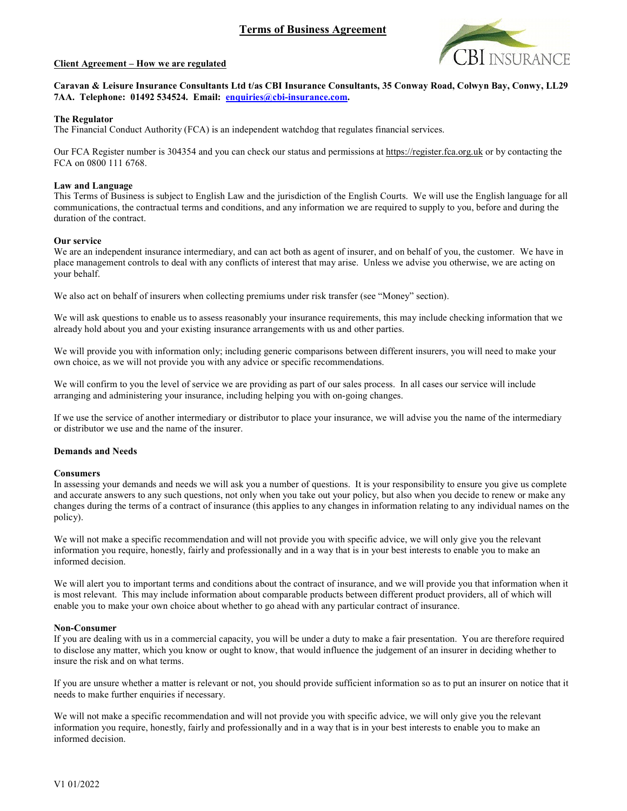

#### Client Agreement – How we are regulated

# Caravan & Leisure Insurance Consultants Ltd t/as CBI Insurance Consultants, 35 Conway Road, Colwyn Bay, Conwy, LL29 7AA. Telephone: 01492 534524. Email: **enquiries@cbi-insurance.com.**<br>The Regulator

The Financial Conduct Authority (FCA) is an independent watchdog that regulates financial services.

Our FCA Register number is 304354 and you can check our status and permissions at https://register.fca.org.uk or by contacting the FCA on 0800 111 6768.

#### Law and Language

This Terms of Business is subject to English Law and the jurisdiction of the English Courts. We will use the English language for all communications, the contractual terms and conditions, and any information we are required to supply to you, before and during the duration of the contract.

#### Our service

We are an independent insurance intermediary, and can act both as agent of insurer, and on behalf of you, the customer. We have in place management controls to deal with any conflicts of interest that may arise. Unless we advise you otherwise, we are acting on your behalf.

We also act on behalf of insurers when collecting premiums under risk transfer (see "Money" section).

We will ask questions to enable us to assess reasonably your insurance requirements, this may include checking information that we already hold about you and your existing insurance arrangements with us and other parties.

We will provide you with information only; including generic comparisons between different insurers, you will need to make your own choice, as we will not provide you with any advice or specific recommendations.

We will confirm to you the level of service we are providing as part of our sales process. In all cases our service will include arranging and administering your insurance, including helping you with on-going changes.

If we use the service of another intermediary or distributor to place your insurance, we will advise you the name of the intermediary or distributor we use and the name of the insurer.

#### Demands and Needs

#### **Consumers**

In assessing your demands and needs we will ask you a number of questions. It is your responsibility to ensure you give us complete and accurate answers to any such questions, not only when you take out your policy, but also when you decide to renew or make any changes during the terms of a contract of insurance (this applies to any changes in information relating to any individual names on the policy).

We will not make a specific recommendation and will not provide you with specific advice, we will only give you the relevant information you require, honestly, fairly and professionally and in a way that is in your best interests to enable you to make an informed decision.

We will alert you to important terms and conditions about the contract of insurance, and we will provide you that information when it is most relevant. This may include information about comparable products between different product providers, all of which will enable you to make your own choice about whether to go ahead with any particular contract of insurance.

#### Non-Consumer

If you are dealing with us in a commercial capacity, you will be under a duty to make a fair presentation. You are therefore required to disclose any matter, which you know or ought to know, that would influence the judgement of an insurer in deciding whether to insure the risk and on what terms.

If you are unsure whether a matter is relevant or not, you should provide sufficient information so as to put an insurer on notice that it needs to make further enquiries if necessary.

We will not make a specific recommendation and will not provide you with specific advice, we will only give you the relevant information you require, honestly, fairly and professionally and in a way that is in your best interests to enable you to make an informed decision.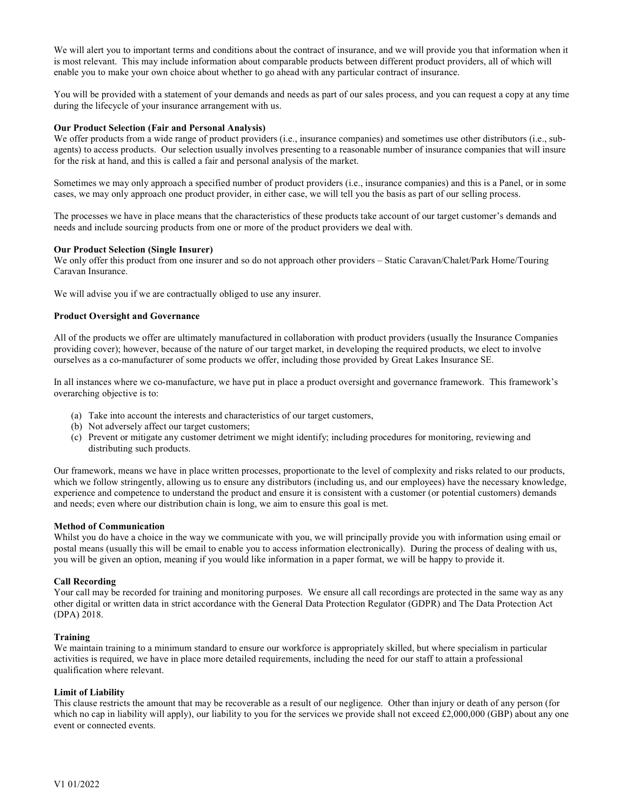We will alert you to important terms and conditions about the contract of insurance, and we will provide you that information when it is most relevant. This may include information about comparable products between different product providers, all of which will enable you to make your own choice about whether to go ahead with any particular contract of insurance.

You will be provided with a statement of your demands and needs as part of our sales process, and you can request a copy at any time during the lifecycle of your insurance arrangement with us.

### Our Product Selection (Fair and Personal Analysis)

We offer products from a wide range of product providers (i.e., insurance companies) and sometimes use other distributors (i.e., subagents) to access products. Our selection usually involves presenting to a reasonable number of insurance companies that will insure for the risk at hand, and this is called a fair and personal analysis of the market.

Sometimes we may only approach a specified number of product providers (i.e., insurance companies) and this is a Panel, or in some cases, we may only approach one product provider, in either case, we will tell you the basis as part of our selling process.

The processes we have in place means that the characteristics of these products take account of our target customer's demands and needs and include sourcing products from one or more of the product providers we deal with.

#### Our Product Selection (Single Insurer)

We only offer this product from one insurer and so do not approach other providers – Static Caravan/Chalet/Park Home/Touring Caravan Insurance.

We will advise you if we are contractually obliged to use any insurer.

#### Product Oversight and Governance

All of the products we offer are ultimately manufactured in collaboration with product providers (usually the Insurance Companies providing cover); however, because of the nature of our target market, in developing the required products, we elect to involve ourselves as a co-manufacturer of some products we offer, including those provided by Great Lakes Insurance SE.

In all instances where we co-manufacture, we have put in place a product oversight and governance framework. This framework's overarching objective is to:

- (a) Take into account the interests and characteristics of our target customers,
- (b) Not adversely affect our target customers;
- (c) Prevent or mitigate any customer detriment we might identify; including procedures for monitoring, reviewing and distributing such products.

Our framework, means we have in place written processes, proportionate to the level of complexity and risks related to our products, which we follow stringently, allowing us to ensure any distributors (including us, and our employees) have the necessary knowledge, experience and competence to understand the product and ensure it is consistent with a customer (or potential customers) demands and needs; even where our distribution chain is long, we aim to ensure this goal is met.

#### Method of Communication

Whilst you do have a choice in the way we communicate with you, we will principally provide you with information using email or postal means (usually this will be email to enable you to access information electronically). During the process of dealing with us, you will be given an option, meaning if you would like information in a paper format, we will be happy to provide it.

#### Call Recording

Your call may be recorded for training and monitoring purposes. We ensure all call recordings are protected in the same way as any other digital or written data in strict accordance with the General Data Protection Regulator (GDPR) and The Data Protection Act (DPA) 2018.

#### Training

We maintain training to a minimum standard to ensure our workforce is appropriately skilled, but where specialism in particular activities is required, we have in place more detailed requirements, including the need for our staff to attain a professional qualification where relevant.

#### Limit of Liability

This clause restricts the amount that may be recoverable as a result of our negligence. Other than injury or death of any person (for which no cap in liability will apply), our liability to you for the services we provide shall not exceed £2,000,000 (GBP) about any one event or connected events.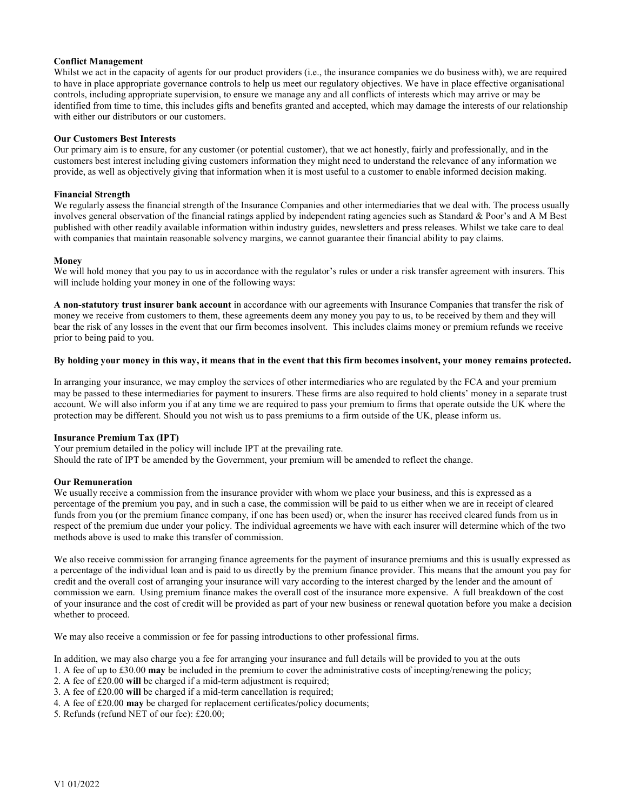### Conflict Management

Whilst we act in the capacity of agents for our product providers (i.e., the insurance companies we do business with), we are required to have in place appropriate governance controls to help us meet our regulatory objectives. We have in place effective organisational controls, including appropriate supervision, to ensure we manage any and all conflicts of interests which may arrive or may be identified from time to time, this includes gifts and benefits granted and accepted, which may damage the interests of our relationship with either our distributors or our customers.

### Our Customers Best Interests

Our primary aim is to ensure, for any customer (or potential customer), that we act honestly, fairly and professionally, and in the customers best interest including giving customers information they might need to understand the relevance of any information we provide, as well as objectively giving that information when it is most useful to a customer to enable informed decision making.

#### Financial Strength

We regularly assess the financial strength of the Insurance Companies and other intermediaries that we deal with. The process usually involves general observation of the financial ratings applied by independent rating agencies such as Standard & Poor's and A M Best published with other readily available information within industry guides, newsletters and press releases. Whilst we take care to deal with companies that maintain reasonable solvency margins, we cannot guarantee their financial ability to pay claims.

#### Money

We will hold money that you pay to us in accordance with the regulator's rules or under a risk transfer agreement with insurers. This will include holding your money in one of the following ways:

A non-statutory trust insurer bank account in accordance with our agreements with Insurance Companies that transfer the risk of money we receive from customers to them, these agreements deem any money you pay to us, to be received by them and they will bear the risk of any losses in the event that our firm becomes insolvent. This includes claims money or premium refunds we receive prior to being paid to you.

# By holding your money in this way, it means that in the event that this firm becomes insolvent, your money remains protected.

In arranging your insurance, we may employ the services of other intermediaries who are regulated by the FCA and your premium may be passed to these intermediaries for payment to insurers. These firms are also required to hold clients' money in a separate trust account. We will also inform you if at any time we are required to pass your premium to firms that operate outside the UK where the protection may be different. Should you not wish us to pass premiums to a firm outside of the UK, please inform us.

# Insurance Premium Tax (IPT)

Your premium detailed in the policy will include IPT at the prevailing rate. Should the rate of IPT be amended by the Government, your premium will be amended to reflect the change.

# Our Remuneration

We usually receive a commission from the insurance provider with whom we place your business, and this is expressed as a percentage of the premium you pay, and in such a case, the commission will be paid to us either when we are in receipt of cleared funds from you (or the premium finance company, if one has been used) or, when the insurer has received cleared funds from us in respect of the premium due under your policy. The individual agreements we have with each insurer will determine which of the two methods above is used to make this transfer of commission.

We also receive commission for arranging finance agreements for the payment of insurance premiums and this is usually expressed as a percentage of the individual loan and is paid to us directly by the premium finance provider. This means that the amount you pay for credit and the overall cost of arranging your insurance will vary according to the interest charged by the lender and the amount of commission we earn. Using premium finance makes the overall cost of the insurance more expensive. A full breakdown of the cost of your insurance and the cost of credit will be provided as part of your new business or renewal quotation before you make a decision whether to proceed.

We may also receive a commission or fee for passing introductions to other professional firms.

In addition, we may also charge you a fee for arranging your insurance and full details will be provided to you at the outs

- 1. A fee of up to  $\text{\pounds}30.00$  may be included in the premium to cover the administrative costs of incepting/renewing the policy;
- 2. A fee of £20.00 will be charged if a mid-term adjustment is required;
- 3. A fee of £20.00 will be charged if a mid-term cancellation is required;
- 4. A fee of £20.00 may be charged for replacement certificates/policy documents;

5. Refunds (refund NET of our fee): £20.00;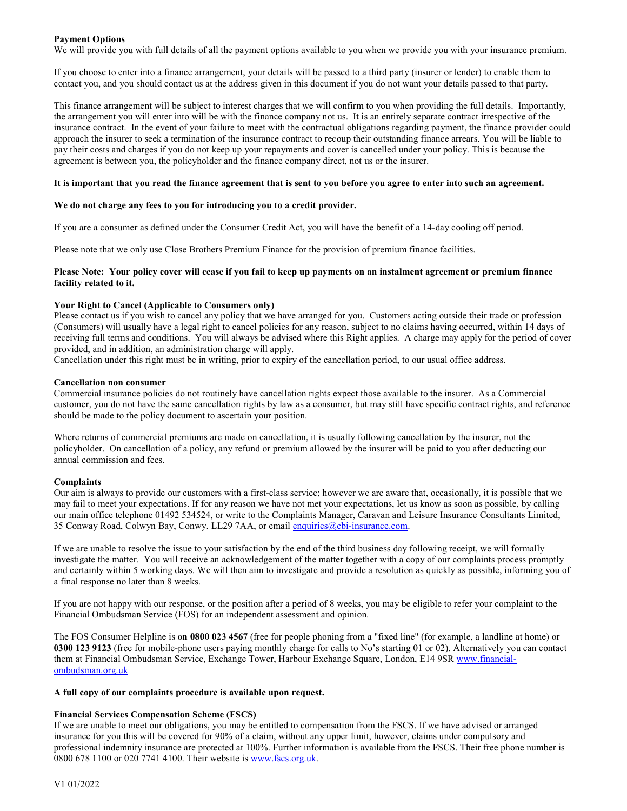### Payment Options

We will provide you with full details of all the payment options available to you when we provide you with your insurance premium.

If you choose to enter into a finance arrangement, your details will be passed to a third party (insurer or lender) to enable them to contact you, and you should contact us at the address given in this document if you do not want your details passed to that party.

This finance arrangement will be subject to interest charges that we will confirm to you when providing the full details. Importantly, the arrangement you will enter into will be with the finance company not us. It is an entirely separate contract irrespective of the insurance contract. In the event of your failure to meet with the contractual obligations regarding payment, the finance provider could approach the insurer to seek a termination of the insurance contract to recoup their outstanding finance arrears. You will be liable to pay their costs and charges if you do not keep up your repayments and cover is cancelled under your policy. This is because the agreement is between you, the policyholder and the finance company direct, not us or the insurer.

#### It is important that you read the finance agreement that is sent to you before you agree to enter into such an agreement.

#### We do not charge any fees to you for introducing you to a credit provider.

If you are a consumer as defined under the Consumer Credit Act, you will have the benefit of a 14-day cooling off period.

Please note that we only use Close Brothers Premium Finance for the provision of premium finance facilities.

### Please Note: Your policy cover will cease if you fail to keep up payments on an instalment agreement or premium finance facility related to it.

#### Your Right to Cancel (Applicable to Consumers only)

Please contact us if you wish to cancel any policy that we have arranged for you. Customers acting outside their trade or profession (Consumers) will usually have a legal right to cancel policies for any reason, subject to no claims having occurred, within 14 days of receiving full terms and conditions. You will always be advised where this Right applies. A charge may apply for the period of cover provided, and in addition, an administration charge will apply.

Cancellation under this right must be in writing, prior to expiry of the cancellation period, to our usual office address.

#### Cancellation non consumer

Commercial insurance policies do not routinely have cancellation rights expect those available to the insurer. As a Commercial customer, you do not have the same cancellation rights by law as a consumer, but may still have specific contract rights, and reference should be made to the policy document to ascertain your position.

Where returns of commercial premiums are made on cancellation, it is usually following cancellation by the insurer, not the policyholder. On cancellation of a policy, any refund or premium allowed by the insurer will be paid to you after deducting our annual commission and fees.

# Complaints

Our aim is always to provide our customers with a first-class service; however we are aware that, occasionally, it is possible that we may fail to meet your expectations. If for any reason we have not met your expectations, let us know as soon as possible, by calling our main office telephone 01492 534524, or write to the Complaints Manager, Caravan and Leisure Insurance Consultants Limited,<br>35 Conway Road, Colwyn Bay, Conwy. LL29 7AA, or email enquiries@cbi-insurance.com.

If we are unable to resolve the issue to your satisfaction by the end of the third business day following receipt, we will formally investigate the matter. You will receive an acknowledgement of the matter together with a copy of our complaints process promptly and certainly within 5 working days. We will then aim to investigate and provide a resolution as quickly as possible, informing you of a final response no later than 8 weeks.

If you are not happy with our response, or the position after a period of 8 weeks, you may be eligible to refer your complaint to the Financial Ombudsman Service (FOS) for an independent assessment and opinion.

The FOS Consumer Helpline is on 0800 023 4567 (free for people phoning from a "fixed line" (for example, a landline at home) or 0300 123 9123 (free for mobile-phone users paying monthly charge for calls to No's starting 01 or 02). Alternatively you can contact them at Financial Ombudsman Service, Exchange Tower, Harbour Exchange Square, London, E14 9SR www.financialombudsman.org.uk

#### A full copy of our complaints procedure is available upon request.

# Financial Services Compensation Scheme (FSCS)

If we are unable to meet our obligations, you may be entitled to compensation from the FSCS. If we have advised or arranged insurance for you this will be covered for 90% of a claim, without any upper limit, however, claims under compulsory and professional indemnity insurance are protected at 100%. Further information is available from the FSCS. Their free phone number is 0800 678 1100 or 020 7741 4100. Their website is www.fscs.org.uk.